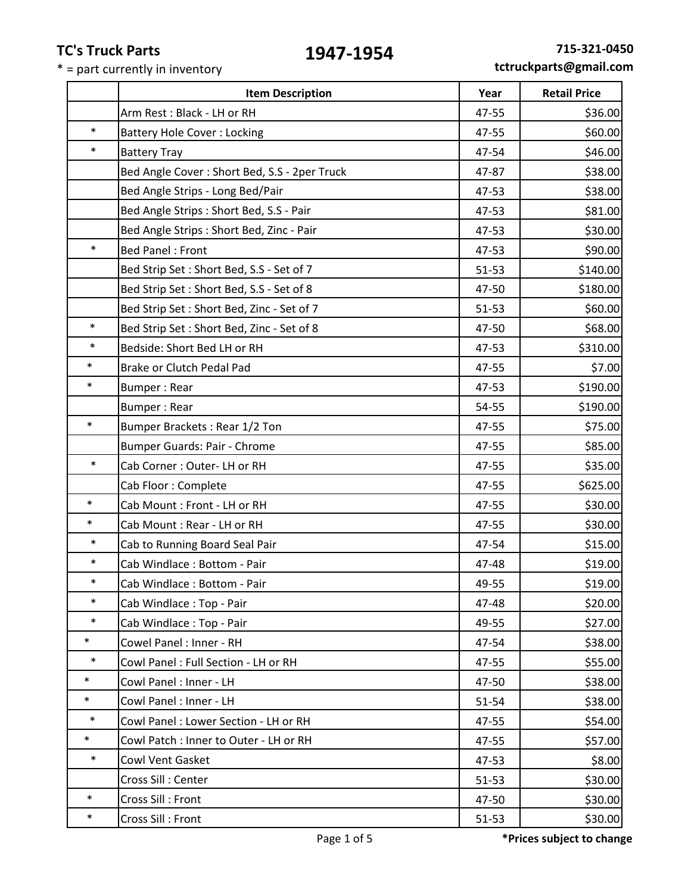**Item Description Vear Retail Price** 

|        | Arm Rest: Black - LH or RH                   | 47-55     | \$36.00  |
|--------|----------------------------------------------|-----------|----------|
| $\ast$ | <b>Battery Hole Cover: Locking</b>           | 47-55     | \$60.00  |
| $\ast$ | <b>Battery Tray</b>                          | 47-54     | \$46.00  |
|        | Bed Angle Cover: Short Bed, S.S - 2per Truck | 47-87     | \$38.00  |
|        | Bed Angle Strips - Long Bed/Pair             | 47-53     | \$38.00  |
|        | Bed Angle Strips : Short Bed, S.S - Pair     | 47-53     | \$81.00  |
|        | Bed Angle Strips : Short Bed, Zinc - Pair    | 47-53     | \$30.00  |
| $\ast$ | <b>Bed Panel: Front</b>                      | 47-53     | \$90.00  |
|        | Bed Strip Set: Short Bed, S.S - Set of 7     | $51 - 53$ | \$140.00 |
|        | Bed Strip Set: Short Bed, S.S - Set of 8     | 47-50     | \$180.00 |
|        | Bed Strip Set: Short Bed, Zinc - Set of 7    | 51-53     | \$60.00  |
| $\ast$ | Bed Strip Set: Short Bed, Zinc - Set of 8    | 47-50     | \$68.00  |
| $\ast$ | Bedside: Short Bed LH or RH                  | 47-53     | \$310.00 |
| $\ast$ | Brake or Clutch Pedal Pad                    | 47-55     | \$7.00   |
| $\ast$ | Bumper: Rear                                 | 47-53     | \$190.00 |
|        | <b>Bumper: Rear</b>                          | 54-55     | \$190.00 |
| $\ast$ | Bumper Brackets: Rear 1/2 Ton                | 47-55     | \$75.00  |
|        | Bumper Guards: Pair - Chrome                 | 47-55     | \$85.00  |
| $\ast$ | Cab Corner: Outer-LH or RH                   | 47-55     | \$35.00  |
|        | Cab Floor: Complete                          | 47-55     | \$625.00 |
| $\ast$ | Cab Mount : Front - LH or RH                 | 47-55     | \$30.00  |
| $\ast$ | Cab Mount: Rear - LH or RH                   | 47-55     | \$30.00  |
| $\ast$ | Cab to Running Board Seal Pair               | 47-54     | \$15.00  |
| $\ast$ | Cab Windlace: Bottom - Pair                  | 47-48     | \$19.00  |
| $\ast$ | Cab Windlace: Bottom - Pair                  | 49-55     | \$19.00  |
| $\ast$ | Cab Windlace: Top - Pair                     | 47-48     | \$20.00  |
| $\ast$ | Cab Windlace: Top - Pair                     | 49-55     | \$27.00  |
| $\ast$ | Cowel Panel: Inner - RH                      | 47-54     | \$38.00  |
| $\ast$ | Cowl Panel: Full Section - LH or RH          | 47-55     | \$55.00  |
| $\ast$ | Cowl Panel : Inner - LH                      | 47-50     | \$38.00  |
| $\ast$ | Cowl Panel : Inner - LH                      | 51-54     | \$38.00  |
| $\ast$ | Cowl Panel: Lower Section - LH or RH         | 47-55     | \$54.00  |
| $\ast$ | Cowl Patch : Inner to Outer - LH or RH       | 47-55     | \$57.00  |
| $\ast$ | Cowl Vent Gasket                             | 47-53     | \$8.00   |
|        | Cross Sill: Center                           | $51 - 53$ | \$30.00  |
| $\ast$ | Cross Sill : Front                           | 47-50     | \$30.00  |
| $\ast$ | Cross Sill : Front                           | $51 - 53$ | \$30.00  |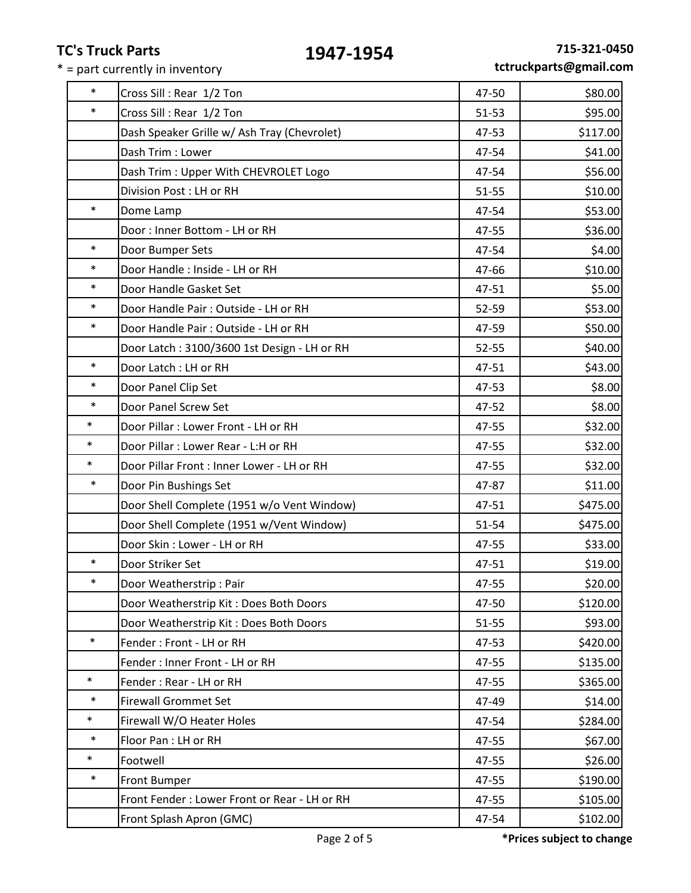| $\ast$<br>47-50<br>Cross Sill: Rear 1/2 Ton<br>$\ast$<br>Cross Sill: Rear 1/2 Ton<br>$51 - 53$<br>Dash Speaker Grille w/ Ash Tray (Chevrolet)<br>47-53<br>\$41.00<br>Dash Trim: Lower<br>47-54<br>\$56.00<br>Dash Trim: Upper With CHEVROLET Logo<br>47-54<br>Division Post: LH or RH<br>\$10.00<br>$51 - 55$<br>$\ast$<br>Dome Lamp<br>47-54<br>Door: Inner Bottom - LH or RH<br>\$36.00<br>47-55<br>$\ast$<br>Door Bumper Sets<br>47-54<br>$\ast$<br>Door Handle: Inside - LH or RH<br>\$10.00<br>47-66<br>$\ast$<br>\$5.00<br>Door Handle Gasket Set<br>47-51<br>$\ast$<br>Door Handle Pair: Outside - LH or RH<br>\$53.00<br>52-59<br>$\ast$<br>\$50.00<br>Door Handle Pair: Outside - LH or RH<br>47-59<br>52-55<br>Door Latch: 3100/3600 1st Design - LH or RH<br>$\ast$<br>Door Latch: LH or RH<br>\$43.00<br>47-51<br>$\ast$<br>\$8.00<br>Door Panel Clip Set<br>47-53<br>$\ast$<br>Door Panel Screw Set<br>\$8.00<br>47-52<br>$\ast$<br>Door Pillar : Lower Front - LH or RH<br>47-55<br>$\ast$<br>Door Pillar : Lower Rear - L:H or RH<br>47-55<br>$\ast$<br>Door Pillar Front : Inner Lower - LH or RH<br>47-55<br>$\ast$<br>\$11.00<br>Door Pin Bushings Set<br>47-87<br>Door Shell Complete (1951 w/o Vent Window)<br>47-51<br>\$475.00<br>Door Shell Complete (1951 w/Vent Window)<br>51-54<br>Door Skin: Lower - LH or RH<br>47-55<br>$\ast$<br>\$19.00<br>Door Striker Set<br>47-51<br>$\ast$<br>47-55<br>Door Weatherstrip: Pair<br>Door Weatherstrip Kit: Does Both Doors<br>47-50<br>Door Weatherstrip Kit: Does Both Doors<br>$51 - 55$<br>$\ast$<br>Fender: Front - LH or RH<br>47-53<br>Fender: Inner Front - LH or RH<br>47-55<br>$\ast$<br>Fender: Rear - LH or RH<br>47-55<br>$\ast$<br><b>Firewall Grommet Set</b><br>47-49<br>$\ast$<br>Firewall W/O Heater Holes<br>\$284.00<br>47-54<br>$\ast$<br>Floor Pan : LH or RH<br>47-55<br>$\ast$<br>\$26.00<br>Footwell<br>47-55<br>$\ast$<br>Front Bumper<br>47-55<br>Front Fender: Lower Front or Rear - LH or RH<br>47-55<br>Front Splash Apron (GMC)<br>47-54 |  |          |
|-----------------------------------------------------------------------------------------------------------------------------------------------------------------------------------------------------------------------------------------------------------------------------------------------------------------------------------------------------------------------------------------------------------------------------------------------------------------------------------------------------------------------------------------------------------------------------------------------------------------------------------------------------------------------------------------------------------------------------------------------------------------------------------------------------------------------------------------------------------------------------------------------------------------------------------------------------------------------------------------------------------------------------------------------------------------------------------------------------------------------------------------------------------------------------------------------------------------------------------------------------------------------------------------------------------------------------------------------------------------------------------------------------------------------------------------------------------------------------------------------------------------------------------------------------------------------------------------------------------------------------------------------------------------------------------------------------------------------------------------------------------------------------------------------------------------------------------------------------------------------------------------------------------------------------------------------------------------------------------------------------------------------------------------|--|----------|
|                                                                                                                                                                                                                                                                                                                                                                                                                                                                                                                                                                                                                                                                                                                                                                                                                                                                                                                                                                                                                                                                                                                                                                                                                                                                                                                                                                                                                                                                                                                                                                                                                                                                                                                                                                                                                                                                                                                                                                                                                                         |  | \$80.00  |
|                                                                                                                                                                                                                                                                                                                                                                                                                                                                                                                                                                                                                                                                                                                                                                                                                                                                                                                                                                                                                                                                                                                                                                                                                                                                                                                                                                                                                                                                                                                                                                                                                                                                                                                                                                                                                                                                                                                                                                                                                                         |  | \$95.00  |
|                                                                                                                                                                                                                                                                                                                                                                                                                                                                                                                                                                                                                                                                                                                                                                                                                                                                                                                                                                                                                                                                                                                                                                                                                                                                                                                                                                                                                                                                                                                                                                                                                                                                                                                                                                                                                                                                                                                                                                                                                                         |  | \$117.00 |
|                                                                                                                                                                                                                                                                                                                                                                                                                                                                                                                                                                                                                                                                                                                                                                                                                                                                                                                                                                                                                                                                                                                                                                                                                                                                                                                                                                                                                                                                                                                                                                                                                                                                                                                                                                                                                                                                                                                                                                                                                                         |  |          |
|                                                                                                                                                                                                                                                                                                                                                                                                                                                                                                                                                                                                                                                                                                                                                                                                                                                                                                                                                                                                                                                                                                                                                                                                                                                                                                                                                                                                                                                                                                                                                                                                                                                                                                                                                                                                                                                                                                                                                                                                                                         |  |          |
|                                                                                                                                                                                                                                                                                                                                                                                                                                                                                                                                                                                                                                                                                                                                                                                                                                                                                                                                                                                                                                                                                                                                                                                                                                                                                                                                                                                                                                                                                                                                                                                                                                                                                                                                                                                                                                                                                                                                                                                                                                         |  |          |
|                                                                                                                                                                                                                                                                                                                                                                                                                                                                                                                                                                                                                                                                                                                                                                                                                                                                                                                                                                                                                                                                                                                                                                                                                                                                                                                                                                                                                                                                                                                                                                                                                                                                                                                                                                                                                                                                                                                                                                                                                                         |  | \$53.00  |
|                                                                                                                                                                                                                                                                                                                                                                                                                                                                                                                                                                                                                                                                                                                                                                                                                                                                                                                                                                                                                                                                                                                                                                                                                                                                                                                                                                                                                                                                                                                                                                                                                                                                                                                                                                                                                                                                                                                                                                                                                                         |  |          |
|                                                                                                                                                                                                                                                                                                                                                                                                                                                                                                                                                                                                                                                                                                                                                                                                                                                                                                                                                                                                                                                                                                                                                                                                                                                                                                                                                                                                                                                                                                                                                                                                                                                                                                                                                                                                                                                                                                                                                                                                                                         |  | \$4.00   |
|                                                                                                                                                                                                                                                                                                                                                                                                                                                                                                                                                                                                                                                                                                                                                                                                                                                                                                                                                                                                                                                                                                                                                                                                                                                                                                                                                                                                                                                                                                                                                                                                                                                                                                                                                                                                                                                                                                                                                                                                                                         |  |          |
|                                                                                                                                                                                                                                                                                                                                                                                                                                                                                                                                                                                                                                                                                                                                                                                                                                                                                                                                                                                                                                                                                                                                                                                                                                                                                                                                                                                                                                                                                                                                                                                                                                                                                                                                                                                                                                                                                                                                                                                                                                         |  |          |
|                                                                                                                                                                                                                                                                                                                                                                                                                                                                                                                                                                                                                                                                                                                                                                                                                                                                                                                                                                                                                                                                                                                                                                                                                                                                                                                                                                                                                                                                                                                                                                                                                                                                                                                                                                                                                                                                                                                                                                                                                                         |  |          |
|                                                                                                                                                                                                                                                                                                                                                                                                                                                                                                                                                                                                                                                                                                                                                                                                                                                                                                                                                                                                                                                                                                                                                                                                                                                                                                                                                                                                                                                                                                                                                                                                                                                                                                                                                                                                                                                                                                                                                                                                                                         |  |          |
|                                                                                                                                                                                                                                                                                                                                                                                                                                                                                                                                                                                                                                                                                                                                                                                                                                                                                                                                                                                                                                                                                                                                                                                                                                                                                                                                                                                                                                                                                                                                                                                                                                                                                                                                                                                                                                                                                                                                                                                                                                         |  | \$40.00  |
|                                                                                                                                                                                                                                                                                                                                                                                                                                                                                                                                                                                                                                                                                                                                                                                                                                                                                                                                                                                                                                                                                                                                                                                                                                                                                                                                                                                                                                                                                                                                                                                                                                                                                                                                                                                                                                                                                                                                                                                                                                         |  |          |
|                                                                                                                                                                                                                                                                                                                                                                                                                                                                                                                                                                                                                                                                                                                                                                                                                                                                                                                                                                                                                                                                                                                                                                                                                                                                                                                                                                                                                                                                                                                                                                                                                                                                                                                                                                                                                                                                                                                                                                                                                                         |  |          |
|                                                                                                                                                                                                                                                                                                                                                                                                                                                                                                                                                                                                                                                                                                                                                                                                                                                                                                                                                                                                                                                                                                                                                                                                                                                                                                                                                                                                                                                                                                                                                                                                                                                                                                                                                                                                                                                                                                                                                                                                                                         |  |          |
|                                                                                                                                                                                                                                                                                                                                                                                                                                                                                                                                                                                                                                                                                                                                                                                                                                                                                                                                                                                                                                                                                                                                                                                                                                                                                                                                                                                                                                                                                                                                                                                                                                                                                                                                                                                                                                                                                                                                                                                                                                         |  | \$32.00  |
|                                                                                                                                                                                                                                                                                                                                                                                                                                                                                                                                                                                                                                                                                                                                                                                                                                                                                                                                                                                                                                                                                                                                                                                                                                                                                                                                                                                                                                                                                                                                                                                                                                                                                                                                                                                                                                                                                                                                                                                                                                         |  | \$32.00  |
|                                                                                                                                                                                                                                                                                                                                                                                                                                                                                                                                                                                                                                                                                                                                                                                                                                                                                                                                                                                                                                                                                                                                                                                                                                                                                                                                                                                                                                                                                                                                                                                                                                                                                                                                                                                                                                                                                                                                                                                                                                         |  | \$32.00  |
|                                                                                                                                                                                                                                                                                                                                                                                                                                                                                                                                                                                                                                                                                                                                                                                                                                                                                                                                                                                                                                                                                                                                                                                                                                                                                                                                                                                                                                                                                                                                                                                                                                                                                                                                                                                                                                                                                                                                                                                                                                         |  |          |
|                                                                                                                                                                                                                                                                                                                                                                                                                                                                                                                                                                                                                                                                                                                                                                                                                                                                                                                                                                                                                                                                                                                                                                                                                                                                                                                                                                                                                                                                                                                                                                                                                                                                                                                                                                                                                                                                                                                                                                                                                                         |  | \$475.00 |
|                                                                                                                                                                                                                                                                                                                                                                                                                                                                                                                                                                                                                                                                                                                                                                                                                                                                                                                                                                                                                                                                                                                                                                                                                                                                                                                                                                                                                                                                                                                                                                                                                                                                                                                                                                                                                                                                                                                                                                                                                                         |  |          |
|                                                                                                                                                                                                                                                                                                                                                                                                                                                                                                                                                                                                                                                                                                                                                                                                                                                                                                                                                                                                                                                                                                                                                                                                                                                                                                                                                                                                                                                                                                                                                                                                                                                                                                                                                                                                                                                                                                                                                                                                                                         |  | \$33.00  |
|                                                                                                                                                                                                                                                                                                                                                                                                                                                                                                                                                                                                                                                                                                                                                                                                                                                                                                                                                                                                                                                                                                                                                                                                                                                                                                                                                                                                                                                                                                                                                                                                                                                                                                                                                                                                                                                                                                                                                                                                                                         |  |          |
|                                                                                                                                                                                                                                                                                                                                                                                                                                                                                                                                                                                                                                                                                                                                                                                                                                                                                                                                                                                                                                                                                                                                                                                                                                                                                                                                                                                                                                                                                                                                                                                                                                                                                                                                                                                                                                                                                                                                                                                                                                         |  | \$20.00  |
|                                                                                                                                                                                                                                                                                                                                                                                                                                                                                                                                                                                                                                                                                                                                                                                                                                                                                                                                                                                                                                                                                                                                                                                                                                                                                                                                                                                                                                                                                                                                                                                                                                                                                                                                                                                                                                                                                                                                                                                                                                         |  | \$120.00 |
|                                                                                                                                                                                                                                                                                                                                                                                                                                                                                                                                                                                                                                                                                                                                                                                                                                                                                                                                                                                                                                                                                                                                                                                                                                                                                                                                                                                                                                                                                                                                                                                                                                                                                                                                                                                                                                                                                                                                                                                                                                         |  | \$93.00  |
|                                                                                                                                                                                                                                                                                                                                                                                                                                                                                                                                                                                                                                                                                                                                                                                                                                                                                                                                                                                                                                                                                                                                                                                                                                                                                                                                                                                                                                                                                                                                                                                                                                                                                                                                                                                                                                                                                                                                                                                                                                         |  | \$420.00 |
|                                                                                                                                                                                                                                                                                                                                                                                                                                                                                                                                                                                                                                                                                                                                                                                                                                                                                                                                                                                                                                                                                                                                                                                                                                                                                                                                                                                                                                                                                                                                                                                                                                                                                                                                                                                                                                                                                                                                                                                                                                         |  | \$135.00 |
|                                                                                                                                                                                                                                                                                                                                                                                                                                                                                                                                                                                                                                                                                                                                                                                                                                                                                                                                                                                                                                                                                                                                                                                                                                                                                                                                                                                                                                                                                                                                                                                                                                                                                                                                                                                                                                                                                                                                                                                                                                         |  | \$365.00 |
|                                                                                                                                                                                                                                                                                                                                                                                                                                                                                                                                                                                                                                                                                                                                                                                                                                                                                                                                                                                                                                                                                                                                                                                                                                                                                                                                                                                                                                                                                                                                                                                                                                                                                                                                                                                                                                                                                                                                                                                                                                         |  | \$14.00  |
|                                                                                                                                                                                                                                                                                                                                                                                                                                                                                                                                                                                                                                                                                                                                                                                                                                                                                                                                                                                                                                                                                                                                                                                                                                                                                                                                                                                                                                                                                                                                                                                                                                                                                                                                                                                                                                                                                                                                                                                                                                         |  |          |
|                                                                                                                                                                                                                                                                                                                                                                                                                                                                                                                                                                                                                                                                                                                                                                                                                                                                                                                                                                                                                                                                                                                                                                                                                                                                                                                                                                                                                                                                                                                                                                                                                                                                                                                                                                                                                                                                                                                                                                                                                                         |  | \$67.00  |
|                                                                                                                                                                                                                                                                                                                                                                                                                                                                                                                                                                                                                                                                                                                                                                                                                                                                                                                                                                                                                                                                                                                                                                                                                                                                                                                                                                                                                                                                                                                                                                                                                                                                                                                                                                                                                                                                                                                                                                                                                                         |  |          |
|                                                                                                                                                                                                                                                                                                                                                                                                                                                                                                                                                                                                                                                                                                                                                                                                                                                                                                                                                                                                                                                                                                                                                                                                                                                                                                                                                                                                                                                                                                                                                                                                                                                                                                                                                                                                                                                                                                                                                                                                                                         |  | \$190.00 |
|                                                                                                                                                                                                                                                                                                                                                                                                                                                                                                                                                                                                                                                                                                                                                                                                                                                                                                                                                                                                                                                                                                                                                                                                                                                                                                                                                                                                                                                                                                                                                                                                                                                                                                                                                                                                                                                                                                                                                                                                                                         |  | \$105.00 |
|                                                                                                                                                                                                                                                                                                                                                                                                                                                                                                                                                                                                                                                                                                                                                                                                                                                                                                                                                                                                                                                                                                                                                                                                                                                                                                                                                                                                                                                                                                                                                                                                                                                                                                                                                                                                                                                                                                                                                                                                                                         |  | \$102.00 |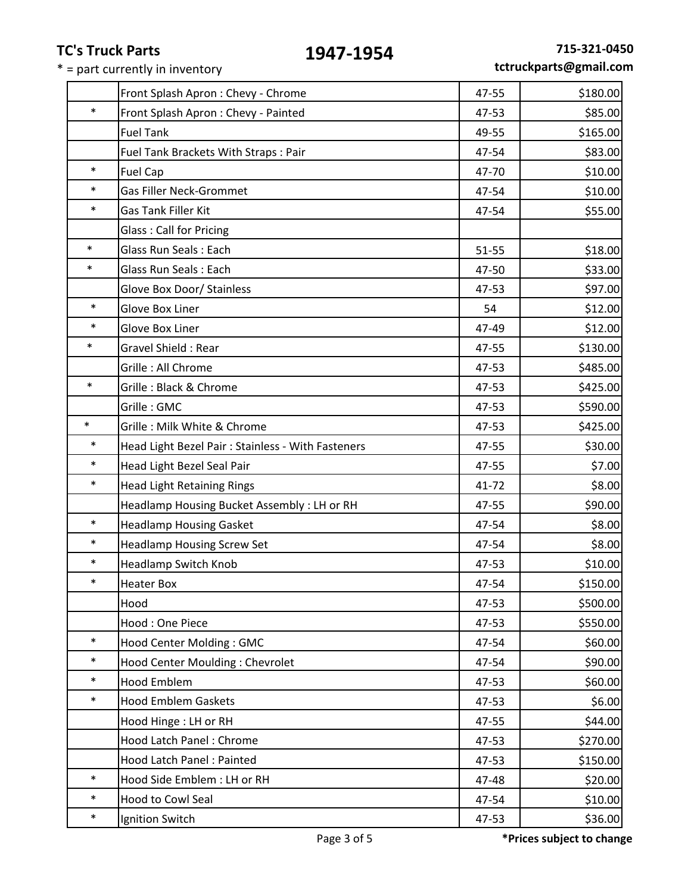|  |  | tctruckparts@gmail.com |
|--|--|------------------------|
|--|--|------------------------|

|        | Front Splash Apron: Chevy - Chrome                 | 47-55 | \$180.00 |
|--------|----------------------------------------------------|-------|----------|
| $\ast$ | Front Splash Apron : Chevy - Painted               | 47-53 | \$85.00  |
|        | <b>Fuel Tank</b>                                   | 49-55 | \$165.00 |
|        | Fuel Tank Brackets With Straps: Pair               | 47-54 | \$83.00  |
| $\ast$ | <b>Fuel Cap</b>                                    | 47-70 | \$10.00  |
| $\ast$ | <b>Gas Filler Neck-Grommet</b>                     | 47-54 | \$10.00  |
| $\ast$ | Gas Tank Filler Kit                                | 47-54 | \$55.00  |
|        | <b>Glass: Call for Pricing</b>                     |       |          |
| $\ast$ | <b>Glass Run Seals: Each</b>                       | 51-55 | \$18.00  |
| $\ast$ | Glass Run Seals: Each                              | 47-50 | \$33.00  |
|        | Glove Box Door/ Stainless                          | 47-53 | \$97.00  |
| $\ast$ | Glove Box Liner                                    | 54    | \$12.00  |
| $\ast$ | Glove Box Liner                                    | 47-49 | \$12.00  |
| $\ast$ | <b>Gravel Shield: Rear</b>                         | 47-55 | \$130.00 |
|        | Grille: All Chrome                                 | 47-53 | \$485.00 |
| $\ast$ | Grille: Black & Chrome                             | 47-53 | \$425.00 |
|        | Grille: GMC                                        | 47-53 | \$590.00 |
| $\ast$ | Grille: Milk White & Chrome                        | 47-53 | \$425.00 |
| $\ast$ | Head Light Bezel Pair : Stainless - With Fasteners | 47-55 | \$30.00  |
| $\ast$ | Head Light Bezel Seal Pair                         | 47-55 | \$7.00   |
| $\ast$ | <b>Head Light Retaining Rings</b>                  | 41-72 | \$8.00   |
|        | Headlamp Housing Bucket Assembly : LH or RH        | 47-55 | \$90.00  |
| $\ast$ | <b>Headlamp Housing Gasket</b>                     | 47-54 | \$8.00   |
| $\ast$ | <b>Headlamp Housing Screw Set</b>                  | 47-54 | \$8.00   |
| $\ast$ | <b>Headlamp Switch Knob</b>                        | 47-53 | \$10.00  |
| $\ast$ | <b>Heater Box</b>                                  | 47-54 | \$150.00 |
|        | Hood                                               | 47-53 | \$500.00 |
|        | Hood: One Piece                                    | 47-53 | \$550.00 |
| $\ast$ | Hood Center Molding: GMC                           | 47-54 | \$60.00  |
| $\ast$ | Hood Center Moulding: Chevrolet                    | 47-54 | \$90.00  |
| $\ast$ | <b>Hood Emblem</b>                                 | 47-53 | \$60.00  |
| $\ast$ | <b>Hood Emblem Gaskets</b>                         | 47-53 | \$6.00   |
|        | Hood Hinge : LH or RH                              | 47-55 | \$44.00  |
|        | Hood Latch Panel: Chrome                           | 47-53 | \$270.00 |
|        | Hood Latch Panel: Painted                          | 47-53 | \$150.00 |
| $\ast$ | Hood Side Emblem : LH or RH                        | 47-48 | \$20.00  |
| $\ast$ | Hood to Cowl Seal                                  | 47-54 | \$10.00  |
| $\ast$ | Ignition Switch                                    | 47-53 | \$36.00  |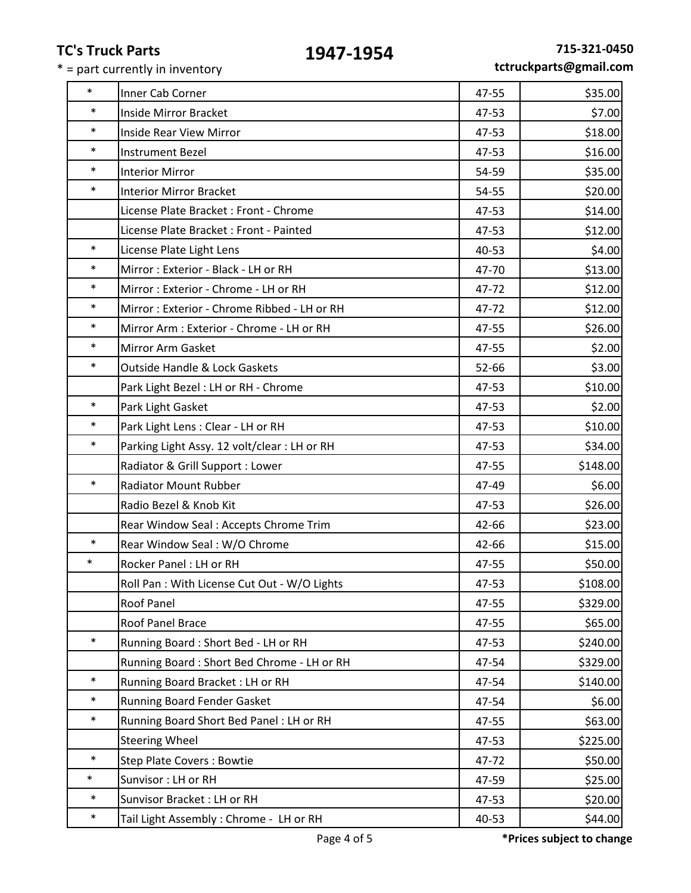| $\ast$ | Inner Cab Corner                             | 47-55 | \$35.00  |
|--------|----------------------------------------------|-------|----------|
| $\ast$ | Inside Mirror Bracket                        | 47-53 | \$7.00   |
| $\ast$ | <b>Inside Rear View Mirror</b>               | 47-53 | \$18.00  |
| $\ast$ | <b>Instrument Bezel</b>                      | 47-53 | \$16.00  |
| $\ast$ | <b>Interior Mirror</b>                       | 54-59 | \$35.00  |
| $\ast$ | <b>Interior Mirror Bracket</b>               | 54-55 | \$20.00  |
|        | License Plate Bracket : Front - Chrome       | 47-53 | \$14.00  |
|        | License Plate Bracket : Front - Painted      | 47-53 | \$12.00  |
| $\ast$ | License Plate Light Lens                     | 40-53 | \$4.00   |
| $\ast$ | Mirror: Exterior - Black - LH or RH          | 47-70 | \$13.00  |
| $\ast$ | Mirror: Exterior - Chrome - LH or RH         | 47-72 | \$12.00  |
| $\ast$ | Mirror: Exterior - Chrome Ribbed - LH or RH  | 47-72 | \$12.00  |
| $\ast$ | Mirror Arm : Exterior - Chrome - LH or RH    | 47-55 | \$26.00  |
| $\ast$ | Mirror Arm Gasket                            | 47-55 | \$2.00   |
| $\ast$ | <b>Outside Handle &amp; Lock Gaskets</b>     | 52-66 | \$3.00   |
|        | Park Light Bezel : LH or RH - Chrome         | 47-53 | \$10.00  |
| $\ast$ | Park Light Gasket                            | 47-53 | \$2.00   |
| $\ast$ | Park Light Lens : Clear - LH or RH           | 47-53 | \$10.00  |
| $\ast$ | Parking Light Assy. 12 volt/clear: LH or RH  | 47-53 | \$34.00  |
|        | Radiator & Grill Support : Lower             | 47-55 | \$148.00 |
| $\ast$ | <b>Radiator Mount Rubber</b>                 | 47-49 | \$6.00   |
|        | Radio Bezel & Knob Kit                       | 47-53 | \$26.00  |
|        | Rear Window Seal: Accepts Chrome Trim        | 42-66 | \$23.00  |
| $\ast$ | Rear Window Seal: W/O Chrome                 | 42-66 | \$15.00  |
| $\ast$ | Rocker Panel: LH or RH                       | 47-55 | \$50.00  |
|        | Roll Pan : With License Cut Out - W/O Lights | 47-53 | \$108.00 |
|        | Roof Panel                                   | 47-55 | \$329.00 |
|        | Roof Panel Brace                             | 47-55 | \$65.00  |
| $\ast$ | Running Board: Short Bed - LH or RH          | 47-53 | \$240.00 |
|        | Running Board: Short Bed Chrome - LH or RH   | 47-54 | \$329.00 |
| $\ast$ | Running Board Bracket: LH or RH              | 47-54 | \$140.00 |
| $\ast$ | Running Board Fender Gasket                  | 47-54 | \$6.00   |
| $\ast$ | Running Board Short Bed Panel : LH or RH     | 47-55 | \$63.00  |
|        | <b>Steering Wheel</b>                        | 47-53 | \$225.00 |
| $\ast$ | <b>Step Plate Covers: Bowtie</b>             | 47-72 | \$50.00  |
| $\ast$ | Sunvisor: LH or RH                           | 47-59 | \$25.00  |
| $\ast$ | Sunvisor Bracket: LH or RH                   | 47-53 | \$20.00  |
| $\ast$ | Tail Light Assembly: Chrome - LH or RH       | 40-53 | \$44.00  |